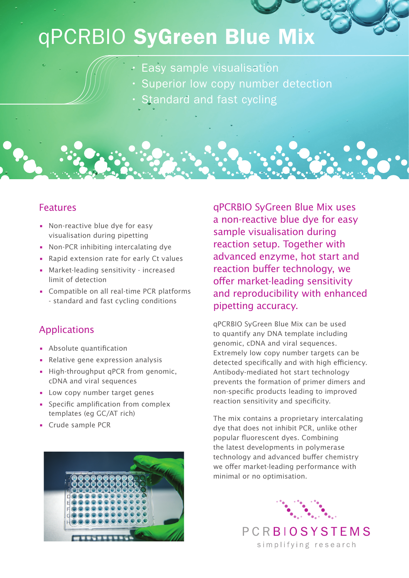## qPCRBIO SyGreen Blue Mix

- Easy sample visualisation
- Superior low copy number detection
- Standard and fast cycling

## Features

- Non-reactive blue dye for easy visualisation during pipetting
- Non-PCR inhibiting intercalating dye
- Rapid extension rate for early Ct values
- Market-leading sensitivity increased limit of detection
- Compatible on all real-time PCR platforms - standard and fast cycling conditions

## Applications

- Absolute quantification
- Relative gene expression analysis
- High-throughput qPCR from genomic, cDNA and viral sequences
- Low copy number target genes
- Specific amplification from complex templates (eg GC/AT rich)
- Crude sample PCR



qPCRBIO SyGreen Blue Mix uses a non-reactive blue dye for easy sample visualisation during reaction setup. Together with advanced enzyme, hot start and reaction buffer technology, we offer market-leading sensitivity and reproducibility with enhanced pipetting accuracy.

qPCRBIO SyGreen Blue Mix can be used to quantify any DNA template including genomic, cDNA and viral sequences. Extremely low copy number targets can be detected specifically and with high efficiency. Antibody-mediated hot start technology prevents the formation of primer dimers and non-specific products leading to improved reaction sensitivity and specificity.

The mix contains a proprietary intercalating dye that does not inhibit PCR, unlike other popular fluorescent dyes. Combining the latest developments in polymerase technology and advanced buffer chemistry we offer market-leading performance with minimal or no optimisation.